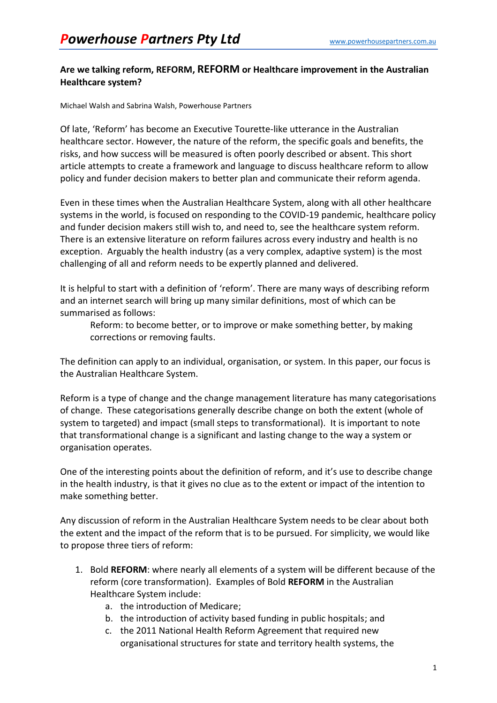## **Are we talking reform, REFORM, REFORM or Healthcare improvement in the Australian Healthcare system?**

Michael Walsh and Sabrina Walsh, Powerhouse Partners

Of late, 'Reform' has become an Executive Tourette-like utterance in the Australian healthcare sector. However, the nature of the reform, the specific goals and benefits, the risks, and how success will be measured is often poorly described or absent. This short article attempts to create a framework and language to discuss healthcare reform to allow policy and funder decision makers to better plan and communicate their reform agenda.

Even in these times when the Australian Healthcare System, along with all other healthcare systems in the world, is focused on responding to the COVID-19 pandemic, healthcare policy and funder decision makers still wish to, and need to, see the healthcare system reform. There is an extensive literature on reform failures across every industry and health is no exception. Arguably the health industry (as a very complex, adaptive system) is the most challenging of all and reform needs to be expertly planned and delivered.

It is helpful to start with a definition of 'reform'. There are many ways of describing reform and an internet search will bring up many similar definitions, most of which can be summarised as follows:

Reform: to become better, or to improve or make something better, by making corrections or removing faults.

The definition can apply to an individual, organisation, or system. In this paper, our focus is the Australian Healthcare System.

Reform is a type of change and the change management literature has many categorisations of change. These categorisations generally describe change on both the extent (whole of system to targeted) and impact (small steps to transformational). It is important to note that transformational change is a significant and lasting change to the way a system or organisation operates.

One of the interesting points about the definition of reform, and it's use to describe change in the health industry, is that it gives no clue as to the extent or impact of the intention to make something better.

Any discussion of reform in the Australian Healthcare System needs to be clear about both the extent and the impact of the reform that is to be pursued. For simplicity, we would like to propose three tiers of reform:

- 1. Bold **REFORM**: where nearly all elements of a system will be different because of the reform (core transformation). Examples of Bold **REFORM** in the Australian Healthcare System include:
	- a. the introduction of Medicare;
	- b. the introduction of activity based funding in public hospitals; and
	- c. the 2011 National Health Reform Agreement that required new organisational structures for state and territory health systems, the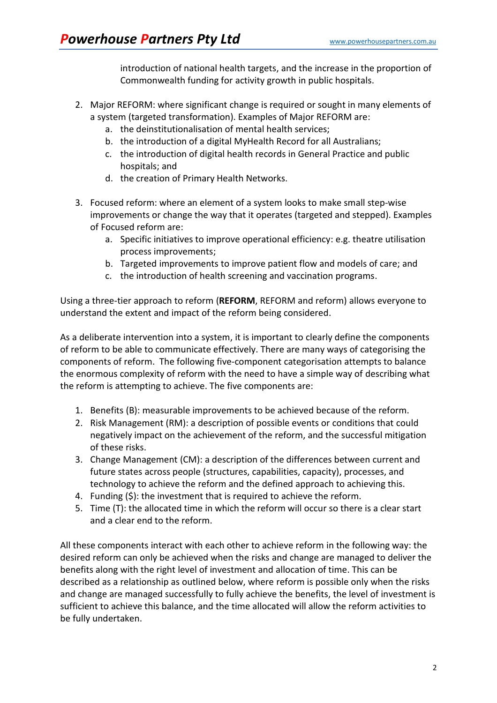introduction of national health targets, and the increase in the proportion of Commonwealth funding for activity growth in public hospitals.

- 2. Major REFORM: where significant change is required or sought in many elements of a system (targeted transformation). Examples of Major REFORM are:
	- a. the deinstitutionalisation of mental health services;
	- b. the introduction of a digital MyHealth Record for all Australians;
	- c. the introduction of digital health records in General Practice and public hospitals; and
	- d. the creation of Primary Health Networks.
- 3. Focused reform: where an element of a system looks to make small step-wise improvements or change the way that it operates (targeted and stepped). Examples of Focused reform are:
	- a. Specific initiatives to improve operational efficiency: e.g. theatre utilisation process improvements;
	- b. Targeted improvements to improve patient flow and models of care; and
	- c. the introduction of health screening and vaccination programs.

Using a three-tier approach to reform (**REFORM**, REFORM and reform) allows everyone to understand the extent and impact of the reform being considered.

As a deliberate intervention into a system, it is important to clearly define the components of reform to be able to communicate effectively. There are many ways of categorising the components of reform. The following five-component categorisation attempts to balance the enormous complexity of reform with the need to have a simple way of describing what the reform is attempting to achieve. The five components are:

- 1. Benefits (B): measurable improvements to be achieved because of the reform.
- 2. Risk Management (RM): a description of possible events or conditions that could negatively impact on the achievement of the reform, and the successful mitigation of these risks.
- 3. Change Management (CM): a description of the differences between current and future states across people (structures, capabilities, capacity), processes, and technology to achieve the reform and the defined approach to achieving this.
- 4. Funding (\$): the investment that is required to achieve the reform.
- 5. Time (T): the allocated time in which the reform will occur so there is a clear start and a clear end to the reform.

All these components interact with each other to achieve reform in the following way: the desired reform can only be achieved when the risks and change are managed to deliver the benefits along with the right level of investment and allocation of time. This can be described as a relationship as outlined below, where reform is possible only when the risks and change are managed successfully to fully achieve the benefits, the level of investment is sufficient to achieve this balance, and the time allocated will allow the reform activities to be fully undertaken.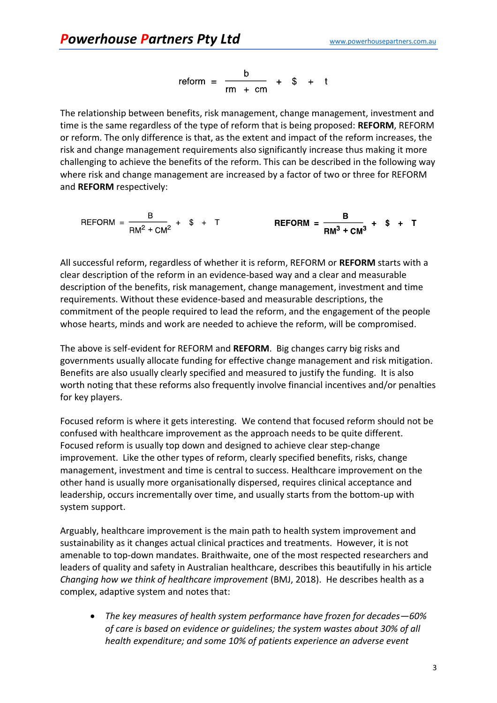$$
reform = \frac{b}{rm + cm} + $ + t
$$

The relationship between benefits, risk management, change management, investment and time is the same regardless of the type of reform that is being proposed: **REFORM**, REFORM or reform. The only difference is that, as the extent and impact of the reform increases, the risk and change management requirements also significantly increase thus making it more challenging to achieve the benefits of the reform. This can be described in the following way where risk and change management are increased by a factor of two or three for REFORM and **REFORM** respectively:

$$
REFORM = \frac{B}{\text{RM}^2 + \text{CM}^2} + $ + T
$$
\n
$$
REFORM = \frac{B}{\text{RM}^3 + \text{CM}^3} + $ + T
$$

All successful reform, regardless of whether it is reform, REFORM or **REFORM** starts with a clear description of the reform in an evidence-based way and a clear and measurable description of the benefits, risk management, change management, investment and time requirements. Without these evidence-based and measurable descriptions, the commitment of the people required to lead the reform, and the engagement of the people whose hearts, minds and work are needed to achieve the reform, will be compromised.

The above is self-evident for REFORM and **REFORM**. Big changes carry big risks and governments usually allocate funding for effective change management and risk mitigation. Benefits are also usually clearly specified and measured to justify the funding. It is also worth noting that these reforms also frequently involve financial incentives and/or penalties for key players.

Focused reform is where it gets interesting. We contend that focused reform should not be confused with healthcare improvement as the approach needs to be quite different. Focused reform is usually top down and designed to achieve clear step-change improvement. Like the other types of reform, clearly specified benefits, risks, change management, investment and time is central to success. Healthcare improvement on the other hand is usually more organisationally dispersed, requires clinical acceptance and leadership, occurs incrementally over time, and usually starts from the bottom-up with system support.

Arguably, healthcare improvement is the main path to health system improvement and sustainability as it changes actual clinical practices and treatments. However, it is not amenable to top-down mandates. Braithwaite, one of the most respected researchers and leaders of quality and safety in Australian healthcare, describes this beautifully in his article *Changing how we think of healthcare improvement* (BMJ, 2018). He describes health as a complex, adaptive system and notes that:

• *The key measures of health system performance have frozen for decades—60% of care is based on evidence or guidelines; the system wastes about 30% of all health expenditure; and some 10% of patients experience an adverse event*